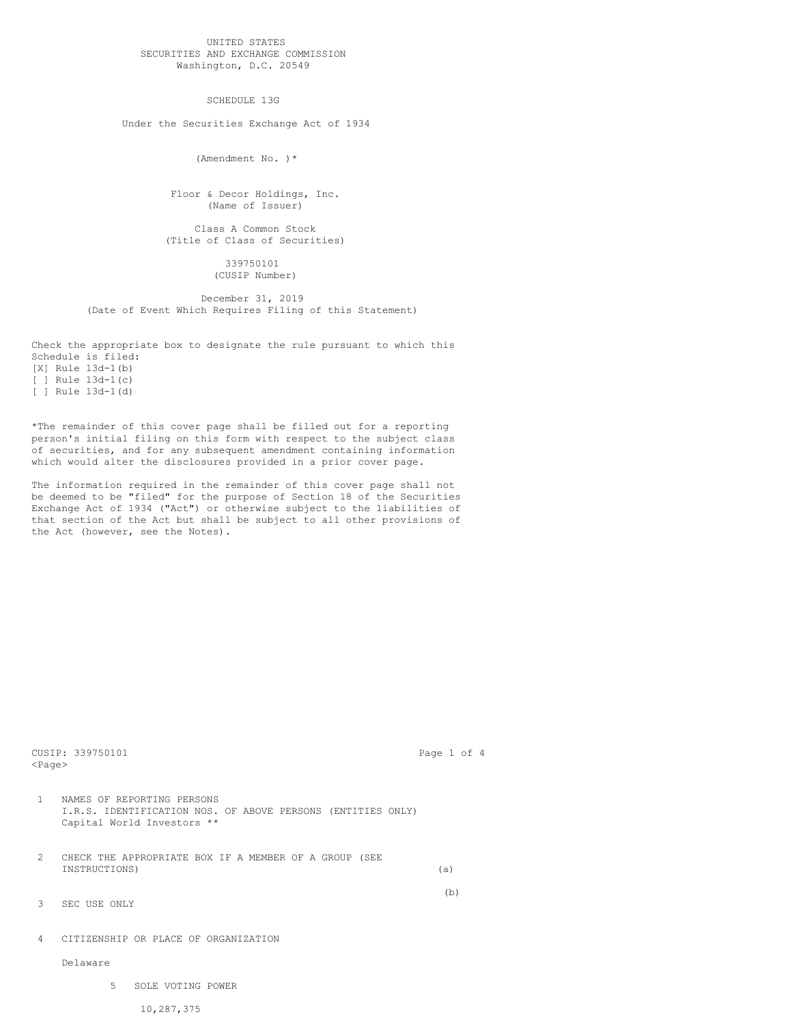## UNITED STATES SECURITIES AND EXCHANGE COMMISSION Washington, D.C. 20549

SCHEDULE 13G

Under the Securities Exchange Act of 1934

(Amendment No. )\*

Floor & Decor Holdings, Inc. (Name of Issuer)

Class A Common Stock (Title of Class of Securities)

> 339750101 (CUSIP Number)

December 31, 2019 (Date of Event Which Requires Filing of this Statement)

Check the appropriate box to designate the rule pursuant to which this Schedule is filed: [X] Rule 13d-1(b)  $[ ]$  Rule 13d-1(c) [ ] Rule 13d-1(d)

\*The remainder of this cover page shall be filled out for a reporting person's initial filing on this form with respect to the subject class of securities, and for any subsequent amendment containing information which would alter the disclosures provided in a prior cover page.

The information required in the remainder of this cover page shall not be deemed to be "filed" for the purpose of Section 18 of the Securities Exchange Act of 1934 ("Act") or otherwise subject to the liabilities of that section of the Act but shall be subject to all other provisions of the Act (however, see the Notes).

| $<$ Paqe $>$  | CUSIP: 339750101                                                                                                        | Page 1 of 4 |     |  |
|---------------|-------------------------------------------------------------------------------------------------------------------------|-------------|-----|--|
| 1.            | NAMES OF REPORTING PERSONS<br>I.R.S. IDENTIFICATION NOS. OF ABOVE PERSONS (ENTITIES ONLY)<br>Capital World Investors ** |             |     |  |
| $\mathcal{D}$ | CHECK THE APPROPRIATE BOX IF A MEMBER OF A GROUP (SEE<br>INSTRUCTIONS)                                                  | (a)         |     |  |
| 3             | SEC USE ONLY                                                                                                            |             | (b) |  |
| 4             | CITIZENSHIP OR PLACE OF ORGANIZATION                                                                                    |             |     |  |
|               | Delaware                                                                                                                |             |     |  |

5 SOLE VOTING POWER

10,287,375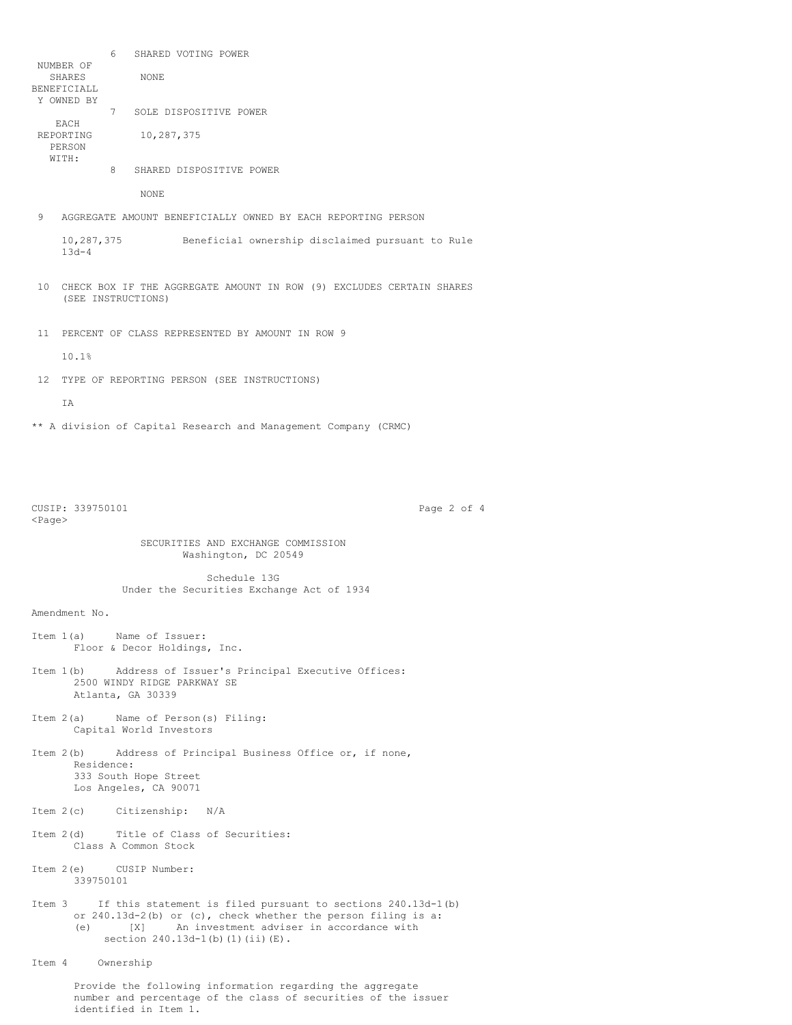6 SHARED VOTING POWER NUMBER OF SHARES NONE BENEFICIALL Y OWNED BY 7 SOLE DISPOSITIVE POWER EACH REPORTING 10,287,375 PERSON  $W$ <sup>T</sup> $TH$ : 8 SHARED DISPOSITIVE POWER NONE 9 AGGREGATE AMOUNT BENEFICIALLY OWNED BY EACH REPORTING PERSON 10,287,375 Beneficial ownership disclaimed pursuant to Rule 13d-4 10 CHECK BOX IF THE AGGREGATE AMOUNT IN ROW (9) EXCLUDES CERTAIN SHARES (SEE INSTRUCTIONS) 11 PERCENT OF CLASS REPRESENTED BY AMOUNT IN ROW 9 10.1% 12 TYPE OF REPORTING PERSON (SEE INSTRUCTIONS) IA \*\* A division of Capital Research and Management Company (CRMC) CUSIP: 339750101 Page 2 of 4 <Page> SECURITIES AND EXCHANGE COMMISSION Washington, DC 20549 Schedule 13G Under the Securities Exchange Act of 1934 Amendment No. Item 1(a) Name of Issuer: Floor & Decor Holdings, Inc. Item 1(b) Address of Issuer's Principal Executive Offices: 2500 WINDY RIDGE PARKWAY SE Atlanta, GA 30339 Item 2(a) Name of Person(s) Filing: Capital World Investors Item 2(b) Address of Principal Business Office or, if none, Residence: 333 South Hope Street Los Angeles, CA 90071 Item 2(c) Citizenship: N/A Item 2(d) Title of Class of Securities: Class A Common Stock Item 2(e) CUSIP Number: 339750101 Item 3 If this statement is filed pursuant to sections 240.13d-1(b) or 240.13d-2(b) or (c), check whether the person filing is a: (e) [X] An investment adviser in accordance with section 240.13d-1(b)(1)(ii)(E). Item 4 Ownership Provide the following information regarding the aggregate number and percentage of the class of securities of the issuer

identified in Item 1.